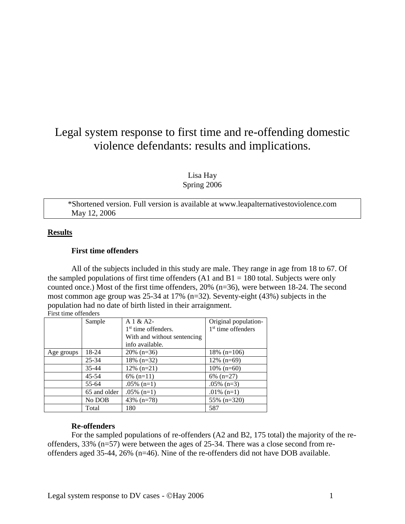# Legal system response to first time and re-offending domestic violence defendants: results and implications.

Lisa Hay Spring 2006

\*Shortened version. Full version is available at www.leapalternativestoviolence.com May 12, 2006

# **Results**

# **First time offenders**

All of the subjects included in this study are male. They range in age from 18 to 67. Of the sampled populations of first time offenders  $(A1 \text{ and } B1 = 180 \text{ total}$ . Subjects were only counted once.) Most of the first time offenders, 20% (n=36), were between 18-24. The second most common age group was 25-34 at 17% (n=32). Seventy-eight (43%) subjects in the population had no date of birth listed in their arraignment. First time offenders

|            | Sample       | A1 & A2                         | Original population- |
|------------|--------------|---------------------------------|----------------------|
|            |              | 1 <sup>st</sup> time offenders. | $1st$ time offenders |
|            |              | With and without sentencing     |                      |
|            |              | info available.                 |                      |
| Age groups | 18-24        | $20\%$ (n=36)                   | 18\% $(n=106)$       |
|            | $25 - 34$    | $18\%$ (n=32)                   | $12\%$ (n=69)        |
|            | 35-44        | $12\%$ (n=21)                   | $10\%$ (n=60)        |
|            | $45 - 54$    | $6\%$ (n=11)                    | $6\%$ (n=27)         |
|            | 55-64        | $.05\%$ (n=1)                   | $.05\%$ (n=3)        |
|            | 65 and older | $.05\%$ (n=1)                   | .01% $(n=1)$         |
|            | No DOB       | 43\% $(n=78)$                   | $55\%$ (n=320)       |
|            | Total        | 180                             | 587                  |

# **Re-offenders**

For the sampled populations of re-offenders (A2 and B2, 175 total) the majority of the reoffenders, 33% (n=57) were between the ages of 25-34. There was a close second from reoffenders aged 35-44, 26% (n=46). Nine of the re-offenders did not have DOB available.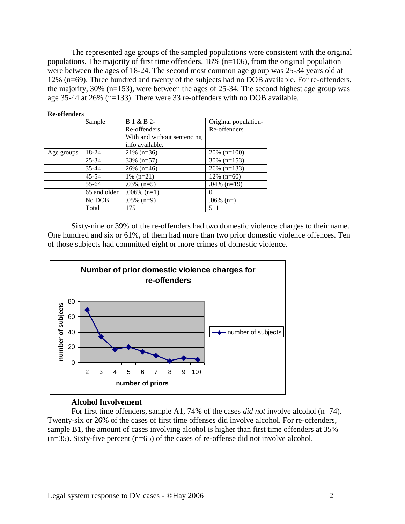The represented age groups of the sampled populations were consistent with the original populations. The majority of first time offenders, 18% (n=106), from the original population were between the ages of 18-24. The second most common age group was 25-34 years old at 12% (n=69). Three hundred and twenty of the subjects had no DOB available. For re-offenders, the majority, 30% (n=153), were between the ages of 25-34. The second highest age group was age 35-44 at 26% (n=133). There were 33 re-offenders with no DOB available.

| <b>Re-offenders</b> |              |                             |                      |  |  |  |  |  |
|---------------------|--------------|-----------------------------|----------------------|--|--|--|--|--|
|                     | Sample       | B 1 & B 2-                  | Original population- |  |  |  |  |  |
|                     |              | Re-offenders.               | Re-offenders         |  |  |  |  |  |
|                     |              | With and without sentencing |                      |  |  |  |  |  |
|                     |              | info available.             |                      |  |  |  |  |  |
| Age groups          | 18-24        | $21\%$ (n=36)               | $20\%$ (n=100)       |  |  |  |  |  |
|                     | $25 - 34$    | $33\%$ (n=57)               | $30\%$ (n=153)       |  |  |  |  |  |
|                     | 35-44        | $26\%$ (n=46)               | $26\%$ (n=133)       |  |  |  |  |  |
|                     | $45 - 54$    | $1\%$ (n=21)                | $12\%$ (n=60)        |  |  |  |  |  |
|                     | 55-64        | .03% $(n=5)$                | .04% $(n=19)$        |  |  |  |  |  |
|                     | 65 and older | $.006\%$ (n=1)              | 0                    |  |  |  |  |  |
|                     | No DOB       | $.05\%$ (n=9)               | .06% $(n=)$          |  |  |  |  |  |
|                     | Total        | 175                         | 511                  |  |  |  |  |  |

Sixty-nine or 39% of the re-offenders had two domestic violence charges to their name. One hundred and six or 61%, of them had more than two prior domestic violence offences. Ten of those subjects had committed eight or more crimes of domestic violence.



#### **Alcohol Involvement**

For first time offenders, sample A1, 74% of the cases *did not* involve alcohol (n=74). Twenty-six or 26% of the cases of first time offenses did involve alcohol. For re-offenders, sample B1, the amount of cases involving alcohol is higher than first time offenders at 35%  $(n=35)$ . Sixty-five percent  $(n=65)$  of the cases of re-offense did not involve alcohol.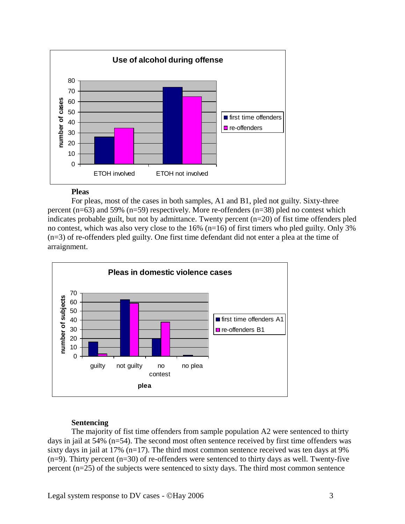

# **Pleas**

For pleas, most of the cases in both samples, A1 and B1, pled not guilty. Sixty-three percent ( $n=63$ ) and 59% ( $n=59$ ) respectively. More re-offenders ( $n=38$ ) pled no contest which indicates probable guilt, but not by admittance. Twenty percent (n=20) of fist time offenders pled no contest, which was also very close to the 16% (n=16) of first timers who pled guilty. Only 3% (n=3) of re-offenders pled guilty. One first time defendant did not enter a plea at the time of arraignment.



# **Sentencing**

The majority of fist time offenders from sample population A2 were sentenced to thirty days in jail at 54% (n=54). The second most often sentence received by first time offenders was sixty days in jail at 17% ( $n=17$ ). The third most common sentence received was ten days at 9%  $(n=9)$ . Thirty percent  $(n=30)$  of re-offenders were sentenced to thirty days as well. Twenty-five percent (n=25) of the subjects were sentenced to sixty days. The third most common sentence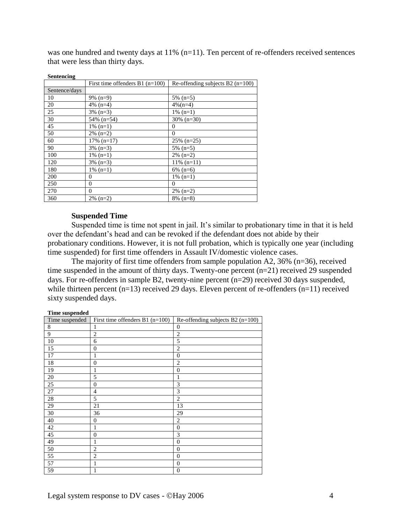was one hundred and twenty days at 11% (n=11). Ten percent of re-offenders received sentences that were less than thirty days.

| sentencing    |                                   |                                    |
|---------------|-----------------------------------|------------------------------------|
|               | First time offenders $B1$ (n=100) | Re-offending subjects $B2$ (n=100) |
| Sentence/days |                                   |                                    |
| 10            | $9\%$ (n=9)                       | $5\%$ (n=5)                        |
| 20            | 4\% $(n=4)$                       | $4\%$ (n=4)                        |
| 25            | $3\%$ (n=3)                       | $1\%$ (n=1)                        |
| 30            | $54\%$ (n=54)                     | $30\%$ (n=30)                      |
| 45            | $1\%$ (n=1)                       | 0                                  |
| 50            | $2\%$ (n=2)                       | $\Omega$                           |
| 60            | $17\%$ (n=17)                     | $25\%$ (n=25)                      |
| 90            | $3\%$ (n=3)                       | $5\%$ (n=5)                        |
| 100           | $1\%$ (n=1)                       | $2\%$ (n=2)                        |
| 120           | $3\%$ (n=3)                       | $11\%$ (n=11)                      |
| 180           | $1\%$ (n=1)                       | $6\%$ (n=6)                        |
| 200           | $\Omega$                          | $1\%$ (n=1)                        |
| 250           | $\Omega$                          | $\Omega$                           |
| 270           | $\Omega$                          | $2\%$ (n=2)                        |
| 360           | $2\%$ (n=2)                       | $8\%$ (n=8)                        |

#### **Sentencing**

# **Suspended Time**

Suspended time is time not spent in jail. It's similar to probationary time in that it is held over the defendant's head and can be revoked if the defendant does not abide by their probationary conditions. However, it is not full probation, which is typically one year (including time suspended) for first time offenders in Assault IV/domestic violence cases.

The majority of first time offenders from sample population A2, 36% (n=36), received time suspended in the amount of thirty days. Twenty-one percent (n=21) received 29 suspended days. For re-offenders in sample B2, twenty-nine percent (n=29) received 30 days suspended, while thirteen percent  $(n=13)$  received 29 days. Eleven percent of re-offenders  $(n=11)$  received sixty suspended days.

#### **Time suspended**

| Time suspended | First time offenders $B1$ (n=100) | Re-offending subjects B2 $(n=100)$ |
|----------------|-----------------------------------|------------------------------------|
| 8              | 1                                 | $\boldsymbol{0}$                   |
| 9              | $\overline{c}$                    | $\overline{c}$                     |
| 10             | 6                                 | 5                                  |
| 15             | $\boldsymbol{0}$                  | $\overline{2}$                     |
| 17             | 1                                 | $\overline{0}$                     |
| 18             | $\boldsymbol{0}$                  | $\overline{2}$                     |
| 19             | 1                                 | $\boldsymbol{0}$                   |
| $20\,$         | 5                                 | $\mathbf{1}$                       |
| 25             | $\boldsymbol{0}$                  | 3                                  |
| 27             | $\overline{4}$                    | 3                                  |
| 28             | 5                                 | $\overline{c}$                     |
| 29             | 21                                | 13                                 |
| 30             | 36                                | 29                                 |
| 40             | $\boldsymbol{0}$                  | $\overline{c}$                     |
| 42             | 1                                 | $\overline{0}$                     |
| 45             | $\overline{0}$                    | 3                                  |
| 49             | 1                                 | $\boldsymbol{0}$                   |
| 50             | $\overline{2}$                    | $\overline{0}$                     |
| 55             | $\overline{2}$                    | $\overline{0}$                     |
| 57             | 1                                 | $\boldsymbol{0}$                   |
| 59             | $\mathbf{1}$                      | $\mathbf{0}$                       |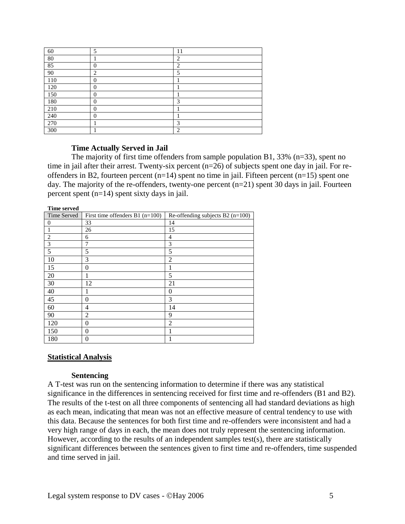| 60  | 5              | 11             |
|-----|----------------|----------------|
| 80  |                | $\overline{2}$ |
| 85  | $\theta$       | $\overline{2}$ |
| 90  | $\overline{2}$ | 5              |
| 110 | $\theta$       |                |
| 120 | 0              |                |
| 150 | 0              |                |
| 180 | 0              | 3              |
| 210 | 0              |                |
| 240 | $\theta$       |                |
| 270 |                | 3              |
| 300 |                | $\overline{c}$ |

#### **Time Actually Served in Jail**

The majority of first time offenders from sample population B1, 33% (n=33), spent no time in jail after their arrest. Twenty-six percent (n=26) of subjects spent one day in jail. For reoffenders in B2, fourteen percent  $(n=14)$  spent no time in jail. Fifteen percent  $(n=15)$  spent one day. The majority of the re-offenders, twenty-one percent  $(n=21)$  spent 30 days in jail. Fourteen percent spent (n=14) spent sixty days in jail.

| <b>Time served</b> |                                   |                                  |
|--------------------|-----------------------------------|----------------------------------|
| Time Served        | First time offenders $B1$ (n=100) | Re-offending subjects B2 (n=100) |
| 0                  | 33                                | 14                               |
|                    | 26                                | 15                               |
| 2                  | 6                                 | 4                                |
| 3                  | 7                                 | 3                                |
| 5                  | 5                                 | 5                                |
| 10                 | 3                                 | $\overline{2}$                   |
| 15                 | $\theta$                          | 1                                |
| 20                 | 1                                 | 5                                |
| 30                 | 12                                | 21                               |
| 40                 | 1                                 | $\Omega$                         |
| 45                 | $\theta$                          | 3                                |
| 60                 | 4                                 | 14                               |
| 90                 | $\overline{2}$                    | 9                                |
| 120                | $\theta$                          | $\overline{2}$                   |
| 150                | $\Omega$                          |                                  |
| 180                | 0                                 |                                  |

# **Statistical Analysis**

#### **Sentencing**

A T-test was run on the sentencing information to determine if there was any statistical significance in the differences in sentencing received for first time and re-offenders (B1 and B2). The results of the t-test on all three components of sentencing all had standard deviations as high as each mean, indicating that mean was not an effective measure of central tendency to use with this data. Because the sentences for both first time and re-offenders were inconsistent and had a very high range of days in each, the mean does not truly represent the sentencing information. However, according to the results of an independent samples test(s), there are statistically significant differences between the sentences given to first time and re-offenders, time suspended and time served in jail.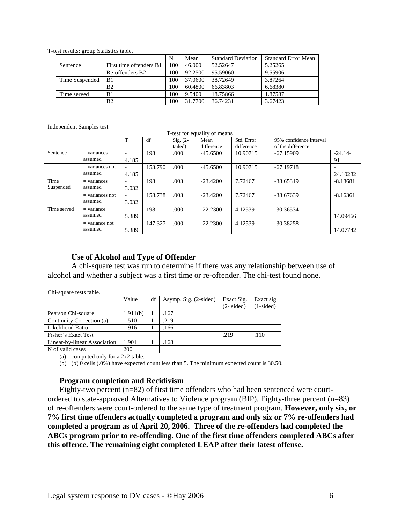T-test results: group Statistics table.

|                |                             |     | Mean    | <b>Standard Deviation</b> | <b>Standard Error Mean</b> |
|----------------|-----------------------------|-----|---------|---------------------------|----------------------------|
| Sentence       | First time offenders B1     | 100 | 46.000  | 52.52647                  | 5.25265                    |
|                | Re-offenders B <sub>2</sub> | 100 | 92.2500 | 95.59060                  | 9.55906                    |
| Time Suspended | B1                          | 100 | 37.0600 | 38.72649                  | 3.87264                    |
|                | B <sub>2</sub>              | 100 | 60.4800 | 66.83803                  | 6.68380                    |
| Time served    | B1                          | 100 | 9.5400  | 18.75866                  | 1.87587                    |
|                | B <sub>2</sub>              | 100 | 31.7700 | 36.74231                  | 3.67423                    |

Independent Samples test

Chi-square tests table.

T-test for equality of means

|             |                   |                          | df      | $Sig. (2-$ | Mean       | Std. Error | 95% confidence interval |                          |
|-------------|-------------------|--------------------------|---------|------------|------------|------------|-------------------------|--------------------------|
|             |                   |                          |         | tailed)    | difference | difference | of the difference       |                          |
| Sentence    | $=$ variances     | $\overline{\phantom{0}}$ | 198     | .000       | $-45.6500$ | 10.90715   | $-67.15909$             | $-24.14-$                |
|             | assumed           | 4.185                    |         |            |            |            |                         | 91                       |
|             | $=$ variances not | $\overline{\phantom{a}}$ | 153.790 | .000       | $-45.6500$ | 10.90715   | $-67.19718$             |                          |
|             | assumed           | 4.185                    |         |            |            |            |                         | 24.10282                 |
| Time        | $=$ variances     | $\overline{\phantom{0}}$ | 198     | .003       | $-23.4200$ | 7.72467    | $-38.65319$             | $-8.18681$               |
| Suspended   | assumed           | 3.032                    |         |            |            |            |                         |                          |
|             | $=$ variances not | $\overline{\phantom{a}}$ | 158.738 | .003       | $-23.4200$ | 7.72467    | $-38.67639$             | $-8.16361$               |
|             | assumed           | 3.032                    |         |            |            |            |                         |                          |
| Time served | $=$ variance      | $\overline{\phantom{0}}$ | 198     | .000       | $-22.2300$ | 4.12539    | $-30.36534$             | $\overline{\phantom{0}}$ |
|             | assumed           | 5.389                    |         |            |            |            |                         | 14.09466                 |
|             | $=$ variance not  | $\overline{\phantom{0}}$ | 147.327 | .000.      | $-22.2300$ | 4.12539    | $-30.38258$             | $\overline{\phantom{0}}$ |
|             | assumed           | 5.389                    |         |            |            |            |                         | 14.07742                 |

#### **Use of Alcohol and Type of Offender**

A chi-square test was run to determine if there was any relationship between use of alcohol and whether a subject was a first time or re-offender. The chi-test found none.

| UM-suudiv ilsis tabil.       |          |    |                       |                      |             |  |  |
|------------------------------|----------|----|-----------------------|----------------------|-------------|--|--|
|                              | Value    | df | Asymp. Sig. (2-sided) | Exact Sig.           | Exact sig.  |  |  |
|                              |          |    |                       | $(2 - \text{sided})$ | $(1-sided)$ |  |  |
| Pearson Chi-square           | 1.911(b) |    | 167                   |                      |             |  |  |
| Continuity Correction (a)    | 1.510    |    | .219                  |                      |             |  |  |
| Likelihood Ratio             | 1.916    |    | 166                   |                      |             |  |  |
| Fisher's Exact Test          |          |    |                       | .219                 | .110        |  |  |
| Linear-by-linear Association | 1.901    |    | 168                   |                      |             |  |  |
| N of valid cases             | 200      |    |                       |                      |             |  |  |

(a) computed only for a 2x2 table.

(b) (b)  $0$  cells (.0%) have expected count less than 5. The minimum expected count is 30.50.

#### **Program completion and Recidivism**

Eighty-two percent (n=82) of first time offenders who had been sentenced were courtordered to state-approved Alternatives to Violence program (BIP). Eighty-three percent (n=83) of re-offenders were court-ordered to the same type of treatment program. **However, only six, or 7% first time offenders actually completed a program and only six or 7% re-offenders had completed a program as of April 20, 2006. Three of the re-offenders had completed the ABCs program prior to re-offending. One of the first time offenders completed ABCs after this offence. The remaining eight completed LEAP after their latest offense.**